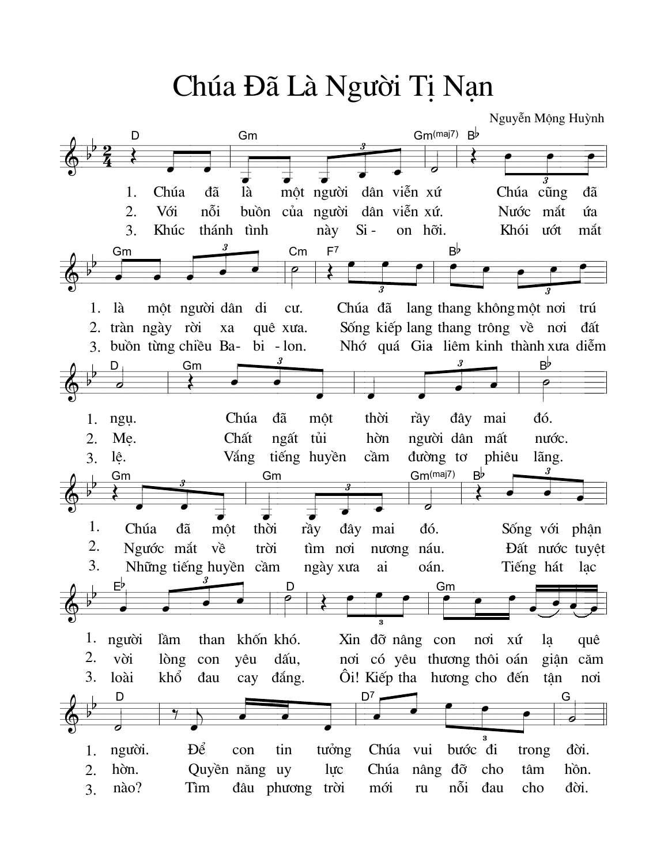Chúa Đã Là Người Tị Nan